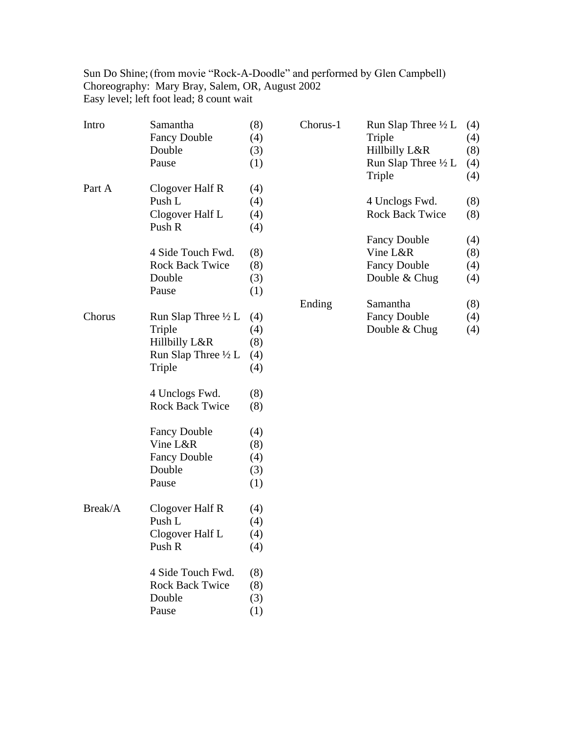Sun Do Shine;(from movie "Rock-A-Doodle" and performed by Glen Campbell) Choreography: Mary Bray, Salem, OR, August 2002 Easy level; left foot lead; 8 count wait

| Intro   | Samantha                                 | (8) |
|---------|------------------------------------------|-----|
|         | <b>Fancy Double</b>                      | (4) |
|         | Double                                   | (3) |
|         | Pause                                    | (1) |
|         |                                          |     |
| Part A  | Clogover Half R                          | (4) |
|         | Push L                                   | (4) |
|         | Clogover Half L                          | (4) |
|         | Push R                                   | (4) |
|         |                                          |     |
|         | 4 Side Touch Fwd.                        | (8) |
|         | <b>Rock Back Twice</b>                   | (8) |
|         | Double                                   | (3) |
|         | Pause                                    | (1) |
|         |                                          |     |
| Chorus  | Run Slap Three $\frac{1}{2}$ L           | (4) |
|         | Triple                                   | (4) |
|         | Hillbilly L&R                            | (8) |
|         | Run Slap Three $\frac{1}{2}$ L           | (4) |
|         | Triple                                   | (4) |
|         |                                          |     |
|         | 4 Unclogs Fwd.<br><b>Rock Back Twice</b> | (8) |
|         |                                          | (8) |
|         | <b>Fancy Double</b>                      | (4) |
|         | Vine L&R                                 | (8) |
|         | <b>Fancy Double</b>                      | (4) |
|         | Double                                   | (3) |
|         | Pause                                    | (1) |
|         |                                          |     |
| Break/A | Clogover Half R                          | (4) |
|         | Push L                                   | (4) |
|         | Clogover Half L                          | (4) |
|         | Push R                                   | (4) |
|         |                                          |     |
|         | 4 Side Touch Fwd.                        | (8) |
|         | <b>Rock Back Twice</b>                   | (8) |
|         | Double                                   | (3) |
|         | Pause                                    | (1) |
|         |                                          |     |

| Run Slap Three 1/2 L   | (4) |
|------------------------|-----|
| Triple                 | (4) |
| Hillbilly L&R          | (8) |
| Run Slap Three 1/2 L   | (4) |
| Triple                 | (4) |
| 4 Unclogs Fwd.         | (8) |
| <b>Rock Back Twice</b> | (8) |
| <b>Fancy Double</b>    | (4) |
| Vine L&R               | (8) |
| <b>Fancy Double</b>    | (4) |
| Double $&$ Chug        | (4) |
| Samantha               | (8) |
| <b>Fancy Double</b>    | (4) |
| Double & Chug          | (4) |
|                        |     |